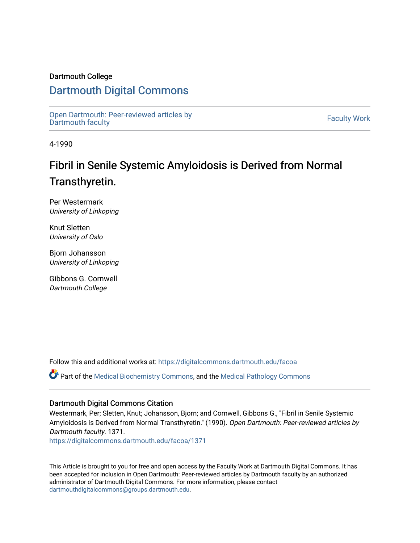## Dartmouth College

# [Dartmouth Digital Commons](https://digitalcommons.dartmouth.edu/)

[Open Dartmouth: Peer-reviewed articles by](https://digitalcommons.dartmouth.edu/facoa)  Open Dartmouth Feer-reviewed articles by<br>[Dartmouth faculty](https://digitalcommons.dartmouth.edu/facoa)

4-1990

# Fibril in Senile Systemic Amyloidosis is Derived from Normal Transthyretin.

Per Westermark University of Linkoping

Knut Sletten University of Oslo

Bjorn Johansson University of Linkoping

Gibbons G. Cornwell Dartmouth College

Follow this and additional works at: [https://digitalcommons.dartmouth.edu/facoa](https://digitalcommons.dartmouth.edu/facoa?utm_source=digitalcommons.dartmouth.edu%2Ffacoa%2F1371&utm_medium=PDF&utm_campaign=PDFCoverPages)

Part of the [Medical Biochemistry Commons,](http://network.bepress.com/hgg/discipline/666?utm_source=digitalcommons.dartmouth.edu%2Ffacoa%2F1371&utm_medium=PDF&utm_campaign=PDFCoverPages) and the [Medical Pathology Commons](http://network.bepress.com/hgg/discipline/676?utm_source=digitalcommons.dartmouth.edu%2Ffacoa%2F1371&utm_medium=PDF&utm_campaign=PDFCoverPages) 

### Dartmouth Digital Commons Citation

Westermark, Per; Sletten, Knut; Johansson, Bjorn; and Cornwell, Gibbons G., "Fibril in Senile Systemic Amyloidosis is Derived from Normal Transthyretin." (1990). Open Dartmouth: Peer-reviewed articles by Dartmouth faculty. 1371.

[https://digitalcommons.dartmouth.edu/facoa/1371](https://digitalcommons.dartmouth.edu/facoa/1371?utm_source=digitalcommons.dartmouth.edu%2Ffacoa%2F1371&utm_medium=PDF&utm_campaign=PDFCoverPages) 

This Article is brought to you for free and open access by the Faculty Work at Dartmouth Digital Commons. It has been accepted for inclusion in Open Dartmouth: Peer-reviewed articles by Dartmouth faculty by an authorized administrator of Dartmouth Digital Commons. For more information, please contact [dartmouthdigitalcommons@groups.dartmouth.edu](mailto:dartmouthdigitalcommons@groups.dartmouth.edu).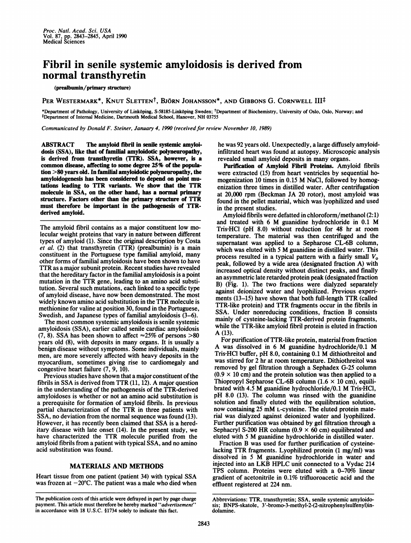# Fibril in senile systemic amyloidosis is derived from normal transthyretin

### (prealbumin/primary structure)

PER WESTERMARK\*, KNUT SLETTEN<sup>†</sup>, BJÖRN JOHANSSON\*, AND GIBBONS G. CORNWELL III<sup>‡</sup>

\*Department of Pathology, University of Linkõping, S-58185-Linkõping Sweden; 'Department of Biochemistry, University of Oslo, Oslo, Norway; and<br>‡Department of Internal Medicine, Dartmouth Medical School, Hanover, NH 03755

Communicated by Donald F. Steiner, January 4, 1990 (received for review November 10, 1989)

ABSTRACT The amyloid fibril in senile systemic amyloidosis (SSA), like that of familial amyloidotic polyneuropathy, is derived from transthyretin (TTR). SSA, however, is a common disease, affecting to some degree 25% of the population >80 years old. In familial amyloidotic polyneuropathy, the amyloidogenesis has been considered to depend on point mutations leading to TTR variants. We show that the TTR molecule in SSA, on the other hand, has a normal primary structure. Factors other than the primary structure of TTR must therefore be important in the pathogenesis of TTRderived amyloid.

The amyloid fibril contains as a major constituent low molecular weight proteins that vary in nature between different types of amyloid (1). Since the original description by Costa et al. (2) that transthyretin (TTR) (prealbumin) is a main constituent in the Portuguese type familial amyloid, many other forms of familial amyloidosis have been shown to have TTR as a major subunit protein. Recent studies have revealed that the hereditary factor in the familial amyloidosis is a point mutation in the TTR gene, leading to an amino acid substitution. Several such mutations, each linked to a specific type of amyloid disease, have now been demonstrated. The most widely known amino acid substitution in the TTR molecule is methionine for valine at position 30, found in the Portuguese, Swedish, and Japanese types of familial amyloidosis  $(3-6)$ .

The most common systemic amyloidosis is senile systemic amyloidosis (SSA), earlier called senile cardiac amyloidosis (7, 8). SSA has been shown to affect  $\approx 25\%$  of persons  $>80$ years old (8), with deposits in many organs. It is usually a benign disease without symptoms. Some individuals, mainly men, are more severely affected with heavy deposits in the myocardium, sometimes giving rise to cardiomegaly and congestive heart failure (7, 9, 10).

Previous studies have shown that a major constituent of the fibrils in SSA is derived from TTR (11, 12). A major question in the understanding of the pathogenesis of the TTR-derived amyloidoses is whether or not an amino acid substitution is a prerequisite for formation of amyloid fibrils. In previous partial characterization of the TTR in three patients with SSA, no deviation from the normal sequence was found (13). However, it has recently been claimed that SSA is a hereditary disease with late onset (14). In the present study, we have characterized the TTR molecule purified from the amyloid fibrils from a patient with typical SSA, and no amino acid substitution was found.

### MATERIALS AND METHODS

Heart tissue from one patient (patient 34) with typical SSA was frozen at  $-20^{\circ}$ C. The patient was a male who died when he was 92 years old. Unexpectedly, a large diffusely amyloidinfiltrated heart was found at autopsy. Microscopic analysis revealed small amyloid deposits in many organs.

Purification of Amyloid Fibril Proteins. Amyloid fibrils were extracted (15) from heart ventricles by sequential homogenization <sup>10</sup> times in 0.15 M NaCl, followed by homogenization three times in distilled water. After centrifugation at 20,000 rpm (Beckman JA 20 rotor), most amyloid was found in the pellet material, which was lyophilized and used in the present studies.

Amyloid fibrils were defatted in chloroform/methanol (2:1) and treated with <sup>6</sup> M guanidine hydrochloride in 0.1 M Tris-HCl (pH 8.0) without reduction for 48 hr at room temperature. The material was then centrifuged and the supernatant was applied to a Sepharose CL-6B column, which was eluted with 5 M guanidine in distilled water. This process resulted in a typical pattern with a fairly small  $V<sub>o</sub>$ peak, followed by a wide area (designated fraction A) with increased optical density without distinct peaks, and finally an asymmetric late retarded protein peak (designated fraction B) (Fig. 1). The two fractions were dialyzed separately against deionized water and lyophilized. Previous experiments (13-15) have shown that both full-length TTR (called TTR-like protein) and TTR fragments occur in the fibrils in SSA. Under nonreducing conditions, fraction B consists mainly of cysteine-lacking TTR-derived protein fragments, while the TTR-like amyloid fibril protein is eluted in fraction A (13).

For purification of TTR-like protein, material from fraction A was dissolved in <sup>6</sup> M guanidine hydrochloride/0.1 M Tris-HCl buffer, pH 8.0, containing 0.1 M dithiothreitol and was stirred for 2 hr at room temperature. Dithiothreitol was removed by gel filtration through a Sephadex G-25 column  $(0.9 \times 10 \text{ cm})$  and the protein solution was then applied to a Thiopropyl Sepharose CL-6B column  $(1.6 \times 10 \text{ cm})$ , equilibrated with 4.5 M guanidine hydrochloride/0.1 M Tris'HCl, pH 8.0 (13). The column was rinsed with the guanidine solution and finally eluted with the equilibration solution, now containing <sup>25</sup> mM L-cysteine. The eluted protein material was dialyzed against deionized water and lyophilized. Further purification was obtained by gel filtration through a Sephacryl S-200 HR column (0.9  $\times$  60 cm) equilibrated and eluted with <sup>5</sup> M guanidine hydrochloride in distilled water.

Fraction B was used for further purification of cysteinelacking TTR fragments. Lyophilized protein (1 mg/ml) was dissolved in <sup>5</sup> M guanidine hydrochloride in water and injected into an LKB HPLC unit connected to <sup>a</sup> Vydac <sup>214</sup> TPS column. Proteins were eluted with a  $0-70\%$  linear gradient of acetonitrile in 0.1% trifluoroacetic acid and the effluent registered at 224 nm.

The publication costs of this article were defrayed in part by page charge payment. This article must therefore be hereby marked "advertisement" in accordance with 18 U.S.C. §1734 solely to indicate this fact.

Abbreviations: TTR, transthyretin; SSA, senile systemic amyloidosis; BNPS-skatole, 3'-bromo-3-methyl-2-(2-nitrophenylsulfenyl)indolamine.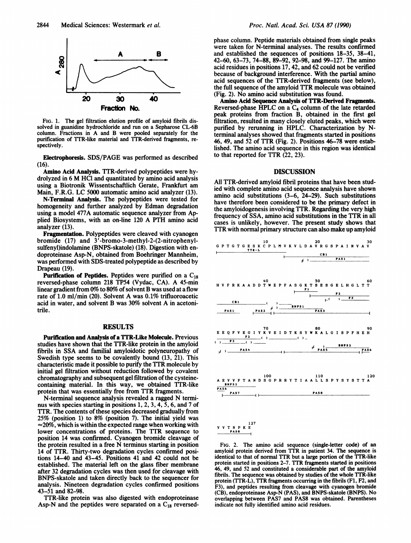

FIG. 1. The gel filtration elution profile of amyloid fibrils dissolved in guanidine hydrochloride and run on a Sepharose CL-6B column. Fractions in A and B were pooled separately for the purification of TTR-like material and TTR-derived fragments, respectively.

Electrophoresis. SDS/PAGE was performed as described (16).

Amino Acid Analysis. TTR-derived polypeptides were hydrolyzed in <sup>6</sup> M HCl and quantitated by amino acid analysis using a Biotronik Wissentschaftlich Gerate, Frankfurt am Main, F.R.G. LC 5000 automatic amino acid analyzer (13).

N-Terminal Analysis. The polypeptides were tested for homogeneity and further analyzed by Edman degradation using a model 477A automatic sequence analyzer from Applied Biosystems, with an on-line <sup>120</sup> A PTH amino acid analyzer (13).

Fragmentation. Polypeptides were cleaved with cyanogen bromide (17) and 3'-bromo-3-methyl-2-(2-nitrophenylsulfenyl)indolamine (BNPS-skatole) (18). Digestion with endoproteinase Asp-N, obtained from Boehringer Mannheim, was performed with SDS-treated polypeptide as described by Drapeau (19).

**Purification of Peptides.** Peptides were purified on a  $C_{18}$ reversed-phase column <sup>218</sup> TP54 (Vydac, CA). A 45-min linear gradient from 0% to 80% of solvent B was used at a flow rate of 1.0 ml/min (20). Solvent A was 0.1% trifluoroacetic acid in water, and solvent B was  $30\%$  solvent A in acetonitrile.

#### RESULTS

Purification and Analysis of a TTR-Like Molecule. Previous studies have shown that the TTR-like protein in the amyloid fibrils in SSA and familial amyloidotic polyneuropathy of Swedish type seems to be covalently bound (13, 21). This characteristic made it possible to purify the TTR molecule by initial gel filtration without reduction followed by covalent chromatography and subsequent gel filtration of the cysteinecontaining material. In this way, we obtained TTR-like protein that was essentially free from TTR fragments.

N-terminal sequence analysis revealed <sup>a</sup> ragged N terminus with species starting in positions 1, 2, 3, 4, 5, 6, and 7 of TTR. The contents of these species decreased gradually from 25% (position 1) to 8% (position 7). The initial yield was  $\approx$  20%, which is within the expected range when working with lower concentrations of proteins. The TTR sequence to position 14 was confirmed. Cyanogen bromide cleavage of the protein resulted in <sup>a</sup> free N terminus starting in position 14 of TTR. Thirty-two degradation cycles confirmed positions 14-40 and 43-45. Positions 41 and 42 could not be established. The material left on the glass fiber membrane after 32 degradation cycles was then used for cleavage with BNPS-skatole and taken directly back to the sequencer for analysis. Nineteen degradation cycles confirmed positions 43-51 and 82-98.

TTR-like protein was also digested with endoproteinase Asp-N and the peptides were separated on a  $C_{18}$  reversedphase column. Peptide materials obtained from single peaks were taken for N-terminal analyses. The results confirmed and established the sequences of positions 18-35, 38-41, 42-60, 63-73, 74-88, 89-92, 92-98, and 99-127. The amino acid residues in positions 17, 42, and 62 could not be verified because of background interference. With the partial amino acid sequences of the TTR-derived fragments (see below), the full sequence of the amyloid TTR molecule was obtained (Fig. 2). No amino acid substitution was found.

Amino Acid Sequence Analysis of TTR-Derived Fragments. Reversed-phase HPLC on a  $C_4$  column of the late retarded peak proteins from fraction B, obtained in the first gel filtration, resulted in many closely eluted peaks, which were purified by rerunning in HPLC. Characterization by Nterminal analyses showed that fragments started in positions 46, 49, and <sup>52</sup> of TTR (Fig. 2). Positions 46-78 were established. The amino acid sequence in this region was identical to that reported for TTR (22, 23).

#### DISCUSSION

All TTR-derived amyloid fibril proteins that have been studied with complete amino acid sequence analysis have shown amino acid substitutions (3-6, 24-29). Such substitutions have therefore been considered to be the primary defect in the amyloidogenesis involving TTR. Regarding the very high frequency of SSA, amino acid substitutions in the TTR in all cases is unlikely, however. The present study shows that TTR with normal primary structure can also make up amyloid



FIG. 2. The amino acid sequence (single-letter code) of an amyloid protein derived from TTR in patient 34. The sequence is identical to that of normal TTR but a large portion of the TTR-like protein started in positions 2-7. TTR fragments started in positions 46, 49, and 52 and constituted a considerable part of the amyloid fibrils. The sequence was obtained by studies of the whole TTR-like protein (TTR-L), TTR fragments occurring in the fibrils (Fl, F2, and F3), and peptides resulting from cleavage with cyanogen bromide (CB), endoproteinase Asp-N (PAS), and BNPS-skatole (BNPS). No overlapping between PAS7 and PAS8 was obtained. Parentheses indicate not fully identified amino acid residues.